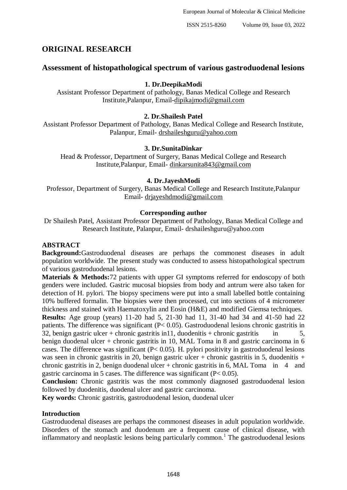# **ORIGINAL RESEARCH**

# **Assessment of histopathological spectrum of various gastroduodenal lesions**

# **1. Dr.DeepikaModi**

Assistant Professor Department of pathology, Banas Medical College and Research Institute,Palanpur, Email[-dipikajmodi@gmail.com](mailto:dipikajmodi@gmail.com)

# **2. Dr.Shailesh Patel**

Assistant Professor Department of Pathology, Banas Medical College and Research Institute, Palanpur, Email- [drshaileshguru@yahoo.com](mailto:drshaileshguru@yahoo.com)

# **3. Dr.SunitaDinkar**

Head & Professor, Department of Surgery, Banas Medical College and Research Institute,Palanpur, Email- [dinkarsunita843@gmail.com](mailto:dinkarsunita843@gmail.com)

# **4. Dr.JayeshModi**

Professor, Department of Surgery, Banas Medical College and Research Institute,Palanpur Email- [drjayeshdmodi@gmail.com](mailto:drjayeshdmodi@gmail.com)

# **Corresponding author**

Dr Shailesh Patel, Assistant Professor Department of Pathology, Banas Medical College and Research Institute, Palanpur, Email- drshaileshguru@yahoo.com

# **ABSTRACT**

**Background:**Gastroduodenal diseases are perhaps the commonest diseases in adult population worldwide. The present study was conducted to assess histopathological spectrum of various gastroduodenal lesions.

**Materials & Methods:**72 patients with upper GI symptoms referred for endoscopy of both genders were included. Gastric mucosal biopsies from body and antrum were also taken for detection of H. pylori. The biopsy specimens were put into a small labelled bottle containing 10% buffered formalin. The biopsies were then processed, cut into sections of 4 micrometer thickness and stained with Haematoxylin and Eosin (H&E) and modified Giemsa techniques.

**Results:** Age group (years) 11-20 had 5, 21-30 had 11, 31-40 had 34 and 41-50 had 22 patients. The difference was significant (P< 0.05). Gastroduodenal lesions chronic gastritis in 32, benign gastric ulcer + chronic gastritis in 11, duodenitis + chronic gastritis in  $5$ , benign duodenal ulcer + chronic gastritis in 10, MAL Toma in 8 and gastric carcinoma in 6 cases. The difference was significant  $(P< 0.05)$ . H. pylori positivity in gastroduodenal lesions was seen in chronic gastritis in 20, benign gastric ulcer + chronic gastritis in 5, duodenitis + chronic gastritis in 2, benign duodenal ulcer + chronic gastritis in 6, MAL Toma in  $4$  and gastric carcinoma in 5 cases. The difference was significant (P< 0.05).

**Conclusion:** Chronic gastritis was the most commonly diagnosed gastroduodenal lesion followed by duodenitis, duodenal ulcer and gastric carcinoma.

**Key words:** Chronic gastritis, gastroduodenal lesion, duodenal ulcer

# **Introduction**

Gastroduodenal diseases are perhaps the commonest diseases in adult population worldwide. Disorders of the stomach and duodenum are a frequent cause of clinical disease, with inflammatory and neoplastic lesions being particularly common.<sup>1</sup> The gastroduodenal lesions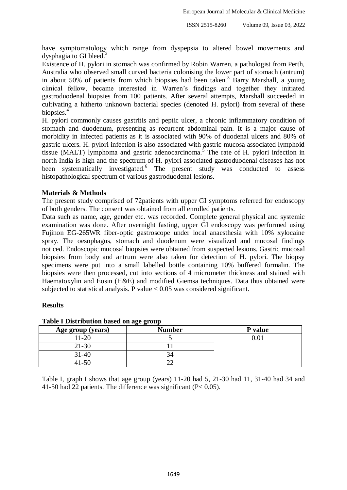have symptomatology which range from dyspepsia to altered bowel movements and dysphagia to GI bleed.<sup>2</sup>

Existence of H. pylori in stomach was confirmed by Robin Warren, a pathologist from Perth, Australia who observed small curved bacteria colonising the lower part of stomach (antrum) in about 50% of patients from which biopsies had been taken.<sup>3</sup> Barry Marshall, a young clinical fellow, became interested in Warren's findings and together they initiated gastroduodenal biopsies from 100 patients. After several attempts, Marshall succeeded in cultivating a hitherto unknown bacterial species (denoted H. pylori) from several of these biopsies.<sup>4</sup>

H. pylori commonly causes gastritis and peptic ulcer, a chronic inflammatory condition of stomach and duodenum, presenting as recurrent abdominal pain. It is a major cause of morbidity in infected patients as it is associated with 90% of duodenal ulcers and 80% of gastric ulcers. H. pylori infection is also associated with gastric mucosa associated lymphoid tissue (MALT) lymphoma and gastric adenocarcinoma.<sup>5</sup> The rate of H. pylori infection in north India is high and the spectrum of H. pylori associated gastroduodenal diseases has not been systematically investigated.<sup>6</sup> The present study was conducted to assess histopathological spectrum of various gastroduodenal lesions.

# **Materials & Methods**

The present study comprised of 72patients with upper GI symptoms referred for endoscopy of both genders. The consent was obtained from all enrolled patients.

Data such as name, age, gender etc. was recorded. Complete general physical and systemic examination was done. After overnight fasting, upper GI endoscopy was performed using Fujinon EG-265WR fiber-optic gastroscope under local anaesthesia with 10% xylocaine spray. The oesophagus, stomach and duodenum were visualized and mucosal findings noticed. Endoscopic mucosal biopsies were obtained from suspected lesions. Gastric mucosal biopsies from body and antrum were also taken for detection of H. pylori. The biopsy specimens were put into a small labelled bottle containing 10% buffered formalin. The biopsies were then processed, cut into sections of 4 micrometer thickness and stained with Haematoxylin and Eosin (H&E) and modified Giemsa techniques. Data thus obtained were subjected to statistical analysis. P value  $< 0.05$  was considered significant.

# **Results**

| Age group (years) | ັັ<br><b>Number</b> | P value  |
|-------------------|---------------------|----------|
| $11-20$           |                     | $0.01\,$ |
| $21 - 30$         |                     |          |
| $31 - 40$         |                     |          |
| 41-50             |                     |          |

#### **Table I Distribution based on age group**

Table I, graph I shows that age group (years) 11-20 had 5, 21-30 had 11, 31-40 had 34 and 41-50 had 22 patients. The difference was significant (P< 0.05).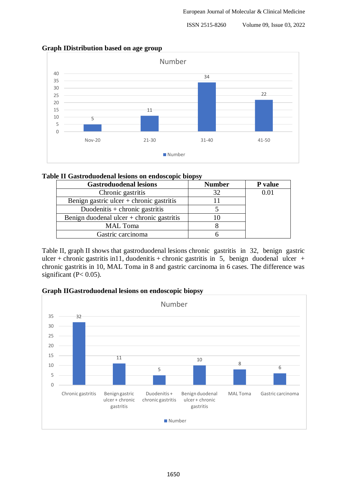ISSN 2515-8260 Volume 09, Issue 03, 2022



# **Graph IDistribution based on age group**

# **Table II Gastroduodenal lesions on endoscopic biopsy**

| <b>Gastroduodenal lesions</b>               | <b>Number</b> | P value |
|---------------------------------------------|---------------|---------|
| Chronic gastritis                           | 32            | 0.01    |
| Benign gastric ulcer $+$ chronic gastritis  |               |         |
| Duodenitis + chronic gastritis              |               |         |
| Benign duodenal ulcer $+$ chronic gastritis |               |         |
| <b>MAL</b> Toma                             |               |         |
| Gastric carcinoma                           |               |         |

Table II, graph II shows that gastroduodenal lesions chronic gastritis in 32, benign gastric ulcer + chronic gastritis in 11, duodenitis + chronic gastritis in 5, benign duodenal ulcer + chronic gastritis in 10, MAL Toma in 8 and gastric carcinoma in 6 cases. The difference was significant ( $P < 0.05$ ).

# **Graph IIGastroduodenal lesions on endoscopic biopsy**

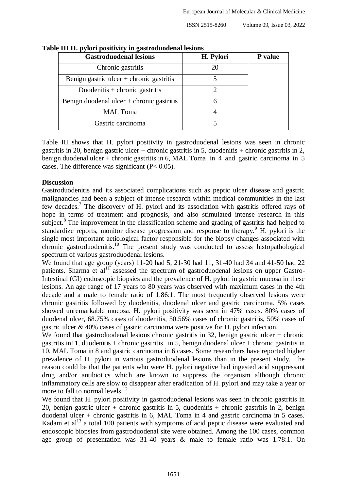| <b>Gastroduodenal lesions</b>               | H. Pylori | P value |
|---------------------------------------------|-----------|---------|
| Chronic gastritis                           | 20        |         |
| Benign gastric ulcer $+$ chronic gastritis  |           |         |
| Duodenitis + chronic gastritis              |           |         |
| Benign duodenal ulcer $+$ chronic gastritis |           |         |
| <b>MAL</b> Toma                             |           |         |
| Gastric carcinoma                           |           |         |

**Table III H. pylori positivity in gastroduodenal lesions**

Table III shows that H. pylori positivity in gastroduodenal lesions was seen in chronic gastritis in 20, benign gastric ulcer + chronic gastritis in 5, duodenitis + chronic gastritis in 2, benign duodenal ulcer + chronic gastritis in 6, MAL Toma in 4 and gastric carcinoma in 5 cases. The difference was significant  $(P< 0.05)$ .

#### **Discussion**

Gastroduodenitis and its associated complications such as peptic ulcer disease and gastric malignancies had been a subject of intense research within medical communities in the last few decades.<sup>7</sup> The discovery of H. pylori and its association with gastritis offered rays of hope in terms of treatment and prognosis, and also stimulated intense research in this subject.<sup>8</sup> The improvement in the classification scheme and grading of gastritis had helped to standardize reports, monitor disease progression and response to therapy.<sup>9</sup> H. pylori is the single most important aetiological factor responsible for the biopsy changes associated with chronic gastroduodenitis.<sup>10</sup> The present study was conducted to assess histopathological spectrum of various gastroduodenal lesions.

We found that age group (years) 11-20 had 5, 21-30 had 11, 31-40 had 34 and 41-50 had 22 patients. Sharma et  $al<sup>11</sup>$  assessed the spectrum of gastroduodenal lesions on upper Gastro-Intestinal (GI) endoscopic biopsies and the prevalence of H. pylori in gastric mucosa in these lesions. An age range of 17 years to 80 years was observed with maximum cases in the 4th decade and a male to female ratio of 1.86:1. The most frequently observed lesions were chronic gastritis followed by duodenitis, duodenal ulcer and gastric carcinoma. 5% cases showed unremarkable mucosa. H. pylori positivity was seen in 47% cases. 80% cases of duodenal ulcer, 68.75% cases of duodenitis, 50.56% cases of chronic gastritis, 50% cases of gastric ulcer & 40% cases of gastric carcinoma were positive for H. pylori infection.

We found that gastroduodenal lesions chronic gastritis in 32, benign gastric ulcer  $+$  chronic gastritis in 11, duodenitis + chronic gastritis in 5, benign duodenal ulcer + chronic gastritis in 10, MAL Toma in 8 and gastric carcinoma in 6 cases. Some researchers have reported higher prevalence of H. pylori in various gastroduodenal lesions than in the present study. The reason could be that the patients who were H. pylori negative had ingested acid suppressant drug and/or antibiotics which are known to suppress the organism although chronic inflammatory cells are slow to disappear after eradication of H. pylori and may take a year or more to fall to normal levels. $^{12}$ 

We found that H. pylori positivity in gastroduodenal lesions was seen in chronic gastritis in 20, benign gastric ulcer + chronic gastritis in 5, duodenitis + chronic gastritis in 2, benign duodenal ulcer + chronic gastritis in 6, MAL Toma in 4 and gastric carcinoma in 5 cases. Kadam et  $al<sup>13</sup>$  a total 100 patients with symptoms of acid peptic disease were evaluated and endoscopic biopsies from gastroduodenal site were obtained. Among the 100 cases, common age group of presentation was 31-40 years & male to female ratio was 1.78:1. On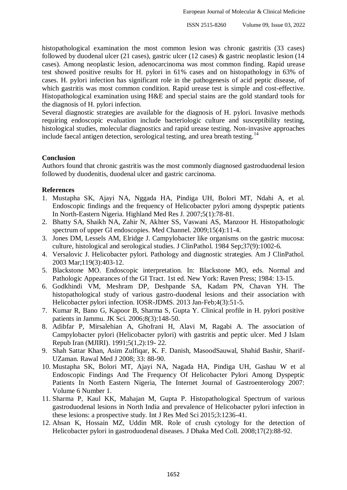histopathological examination the most common lesion was chronic gastritis (33 cases) followed by duodenal ulcer (21 cases), gastric ulcer (12 cases)  $\&$  gastric neoplastic lesion (14 cases). Among neoplastic lesion, adenocarcinoma was most common finding. Rapid urease test showed positive results for H. pylori in 61% cases and on histopathology in 63% of cases. H. pylori infection has significant role in the pathogenesis of acid peptic disease, of which gastritis was most common condition. Rapid urease test is simple and cost-effective. Histopathological examination using H&E and special stains are the gold standard tools for the diagnosis of H. pylori infection.

Several diagnostic strategies are available for the diagnosis of H. pylori. Invasive methods requiring endoscopic evaluation include bacteriologic culture and susceptibility testing, histological studies, molecular diagnostics and rapid urease testing. Non-invasive approaches include faecal antigen detection, serological testing, and urea breath testing.<sup>14</sup>

# **Conclusion**

Authors found that chronic gastritis was the most commonly diagnosed gastroduodenal lesion followed by duodenitis, duodenal ulcer and gastric carcinoma.

# **References**

- 1. Mustapha SK, Ajayi NA, Nggada HA, Pindiga UH, Bolori MT, Ndahi A, et al. Endoscopic findings and the frequency of Helicobacter pylori among dyspeptic patients In North-Eastern Nigeria. Highland Med Res J. 2007;5(1):78-81.
- 2. Bhatty SA, Shaikh NA, Zahir N, Akhter SS, Vaswani AS, Manzoor H. Histopathologic spectrum of upper GI endoscopies. Med Channel. 2009;15(4):11-4.
- 3. Jones DM, Lessels AM, Elridge J. Campylobacter like organisms on the gastric mucosa: culture, histological and serological studies. J ClinPathol. 1984 Sep;37(9):1002-6.
- 4. Versalovic J. Helicobacter pylori. Pathology and diagnostic strategies. Am J ClinPathol. 2003 Mar;119(3):403-12.
- 5. Blackstone MO. Endoscopic interpretation. In: Blackstone MO, eds. Normal and Pathologic Appearances of the GI Tract. 1st ed. New York: Raven Press; 1984: 13-15.
- 6. Godkhindi VM, Meshram DP, Deshpande SA, Kadam PN, Chavan YH. The histopathological study of various gastro-duodenal lesions and their association with Helicobacter pylori infection. IOSR-JDMS. 2013 Jan-Feb;4(3):51-5.
- 7. Kumar R, Bano G, Kapoor B, Sharma S, Gupta Y. Clinical profile in H. pylori positive patients in Jammu. JK Sci. 2006;8(3):148-50.
- 8. Adibfar P, Mirsalehian A, Ghofrani H, Alavi M, Ragabi A. The association of Campylobacter pylori (Helicobacter pylori) with gastritis and peptic ulcer. Med J Islam Repub Iran (MJIRI). 1991;5(1,2):19- 22.
- 9. Shah Sattar Khan, Asim Zulfiqar, K. F. Danish, MasoodSauwal, Shahid Bashir, Sharif-UZaman. Rawal Med J 2008; 33: 88-90.
- 10. Mustapha SK, Bolori MT, Ajayi NA, Nagada HA, Pindiga UH, Gashau W et al Endoscopic Findings And The Frequency Of Helicobacter Pylori Among Dyspeptic Patients In North Eastern Nigeria, The Internet Journal of Gastroenterology 2007: Volume 6 Number 1.
- 11. Sharma P, Kaul KK, Mahajan M, Gupta P. Histopathological Spectrum of various gastroduodenal lesions in North India and prevalence of Helicobacter pylori infection in these lesions: a prospective study. Int J Res Med Sci 2015;3:1236-41.
- 12. Ahsan K, Hossain MZ, Uddin MR. Role of crush cytology for the detection of Helicobacter pylori in gastroduodenal diseases. J Dhaka Med Coll. 2008;17(2):88-92.